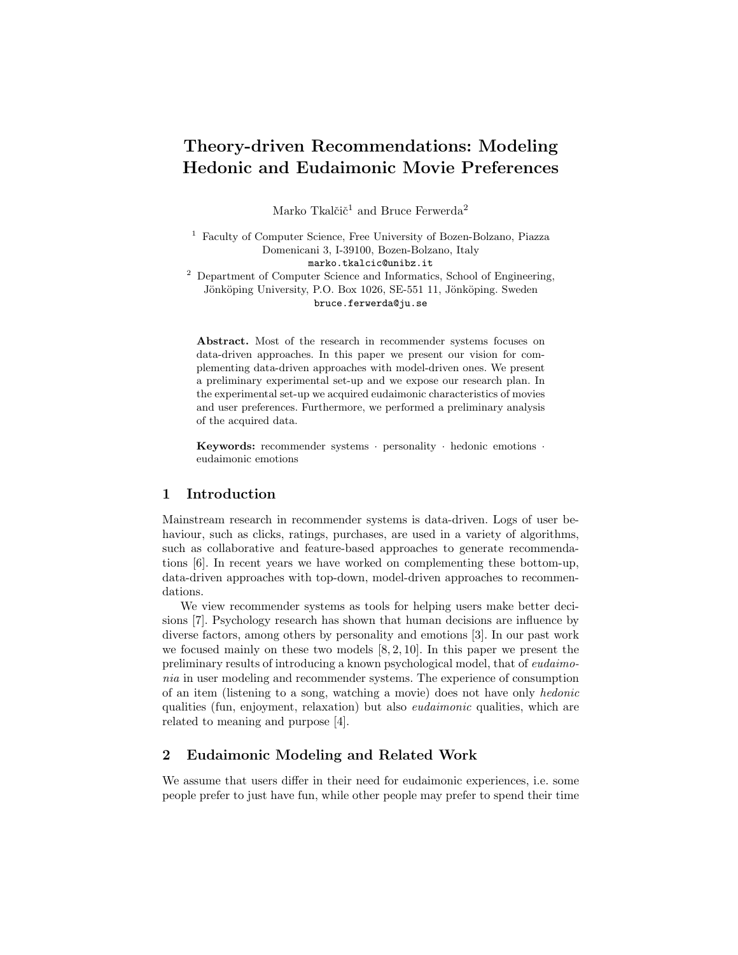# Theory-driven Recommendations: Modeling Hedonic and Eudaimonic Movie Preferences

Marko Tkalčič<sup>1</sup> and Bruce Ferwerda<sup>2</sup>

<sup>1</sup> Faculty of Computer Science, Free University of Bozen-Bolzano, Piazza Domenicani 3, I-39100, Bozen-Bolzano, Italy marko.tkalcic@unibz.it

 $2$  Department of Computer Science and Informatics, School of Engineering, Jönköping University, P.O. Box 1026, SE-551 11, Jönköping. Sweden bruce.ferwerda@ju.se

Abstract. Most of the research in recommender systems focuses on data-driven approaches. In this paper we present our vision for complementing data-driven approaches with model-driven ones. We present a preliminary experimental set-up and we expose our research plan. In the experimental set-up we acquired eudaimonic characteristics of movies and user preferences. Furthermore, we performed a preliminary analysis of the acquired data.

Keywords: recommender systems · personality · hedonic emotions · eudaimonic emotions

## 1 Introduction

Mainstream research in recommender systems is data-driven. Logs of user behaviour, such as clicks, ratings, purchases, are used in a variety of algorithms, such as collaborative and feature-based approaches to generate recommendations [6]. In recent years we have worked on complementing these bottom-up, data-driven approaches with top-down, model-driven approaches to recommendations.

We view recommender systems as tools for helping users make better decisions [7]. Psychology research has shown that human decisions are influence by diverse factors, among others by personality and emotions [3]. In our past work we focused mainly on these two models [8, 2, 10]. In this paper we present the preliminary results of introducing a known psychological model, that of eudaimonia in user modeling and recommender systems. The experience of consumption of an item (listening to a song, watching a movie) does not have only hedonic qualities (fun, enjoyment, relaxation) but also eudaimonic qualities, which are related to meaning and purpose [4].

# 2 Eudaimonic Modeling and Related Work

We assume that users differ in their need for eudaimonic experiences, i.e. some people prefer to just have fun, while other people may prefer to spend their time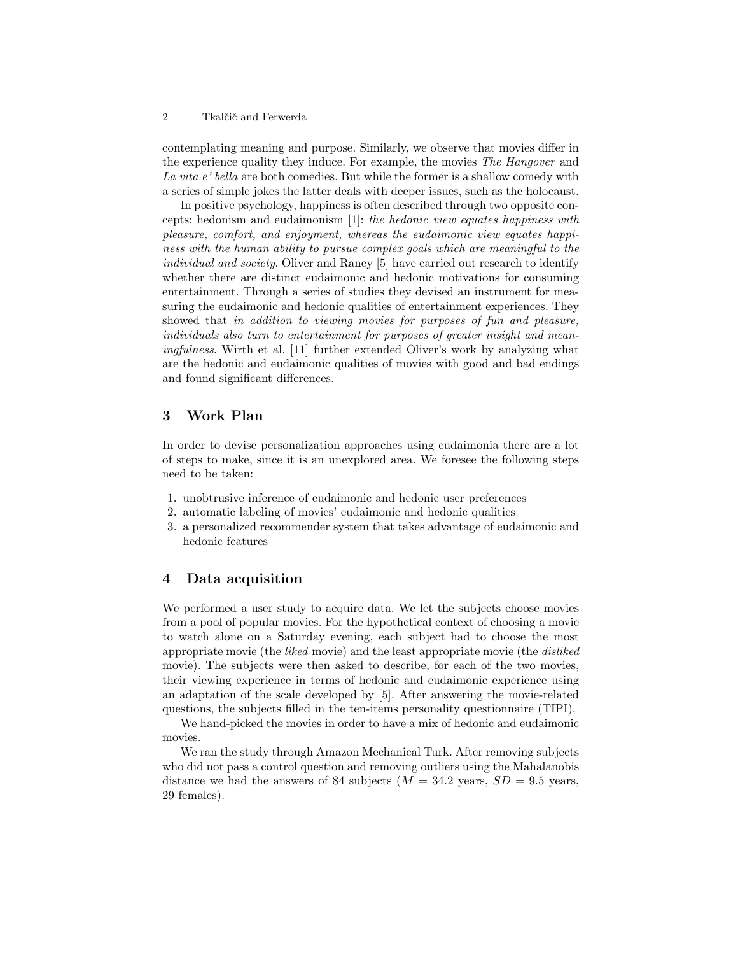#### 2 Tkalčič and Ferwerda

contemplating meaning and purpose. Similarly, we observe that movies differ in the experience quality they induce. For example, the movies The Hangover and La vita e' bella are both comedies. But while the former is a shallow comedy with a series of simple jokes the latter deals with deeper issues, such as the holocaust.

In positive psychology, happiness is often described through two opposite concepts: hedonism and eudaimonism [1]: the hedonic view equates happiness with pleasure, comfort, and enjoyment, whereas the eudaimonic view equates happiness with the human ability to pursue complex goals which are meaningful to the individual and society. Oliver and Raney [5] have carried out research to identify whether there are distinct eudaimonic and hedonic motivations for consuming entertainment. Through a series of studies they devised an instrument for measuring the eudaimonic and hedonic qualities of entertainment experiences. They showed that in addition to viewing movies for purposes of fun and pleasure, individuals also turn to entertainment for purposes of greater insight and meaningfulness. Wirth et al. [11] further extended Oliver's work by analyzing what are the hedonic and eudaimonic qualities of movies with good and bad endings and found significant differences.

#### 3 Work Plan

In order to devise personalization approaches using eudaimonia there are a lot of steps to make, since it is an unexplored area. We foresee the following steps need to be taken:

- 1. unobtrusive inference of eudaimonic and hedonic user preferences
- 2. automatic labeling of movies' eudaimonic and hedonic qualities
- 3. a personalized recommender system that takes advantage of eudaimonic and hedonic features

#### 4 Data acquisition

We performed a user study to acquire data. We let the subjects choose movies from a pool of popular movies. For the hypothetical context of choosing a movie to watch alone on a Saturday evening, each subject had to choose the most appropriate movie (the liked movie) and the least appropriate movie (the disliked movie). The subjects were then asked to describe, for each of the two movies, their viewing experience in terms of hedonic and eudaimonic experience using an adaptation of the scale developed by [5]. After answering the movie-related questions, the subjects filled in the ten-items personality questionnaire (TIPI).

We hand-picked the movies in order to have a mix of hedonic and eudaimonic movies.

We ran the study through Amazon Mechanical Turk. After removing subjects who did not pass a control question and removing outliers using the Mahalanobis distance we had the answers of 84 subjects  $(M = 34.2 \text{ years}, SD = 9.5 \text{ years},$ 29 females).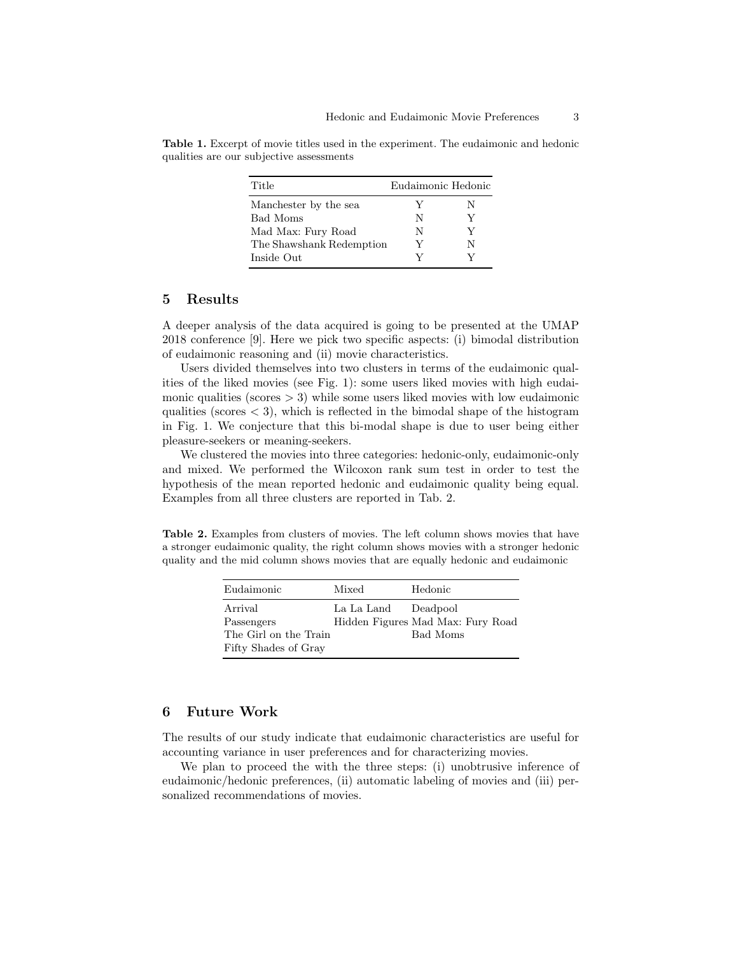| Title                    | Eudaimonic Hedonic |   |
|--------------------------|--------------------|---|
| Manchester by the sea    | V                  | N |
| Bad Moms                 | N                  |   |
| Mad Max: Fury Road       | N                  | V |
| The Shawshank Redemption | V                  | N |
| Inside Out               |                    |   |

Table 1. Excerpt of movie titles used in the experiment. The eudaimonic and hedonic qualities are our subjective assessments

#### 5 Results

A deeper analysis of the data acquired is going to be presented at the UMAP 2018 conference [9]. Here we pick two specific aspects: (i) bimodal distribution of eudaimonic reasoning and (ii) movie characteristics.

Users divided themselves into two clusters in terms of the eudaimonic qualities of the liked movies (see Fig. 1): some users liked movies with high eudaimonic qualities (scores  $> 3$ ) while some users liked movies with low eudaimonic qualities (scores  $\langle 3 \rangle$ , which is reflected in the bimodal shape of the histogram in Fig. 1. We conjecture that this bi-modal shape is due to user being either pleasure-seekers or meaning-seekers.

We clustered the movies into three categories: hedonic-only, eudaimonic-only and mixed. We performed the Wilcoxon rank sum test in order to test the hypothesis of the mean reported hedonic and eudaimonic quality being equal. Examples from all three clusters are reported in Tab. 2.

Table 2. Examples from clusters of movies. The left column shows movies that have a stronger eudaimonic quality, the right column shows movies with a stronger hedonic quality and the mid column shows movies that are equally hedonic and eudaimonic

| Eudaimonic                                                             | Mixed               | Hedonic                                       |
|------------------------------------------------------------------------|---------------------|-----------------------------------------------|
| Arrival<br>Passengers<br>The Girl on the Train<br>Fifty Shades of Gray | La La Land Deadpool | Hidden Figures Mad Max: Fury Road<br>Bad Moms |

## 6 Future Work

The results of our study indicate that eudaimonic characteristics are useful for accounting variance in user preferences and for characterizing movies.

We plan to proceed the with the three steps: (i) unobtrusive inference of eudaimonic/hedonic preferences, (ii) automatic labeling of movies and (iii) personalized recommendations of movies.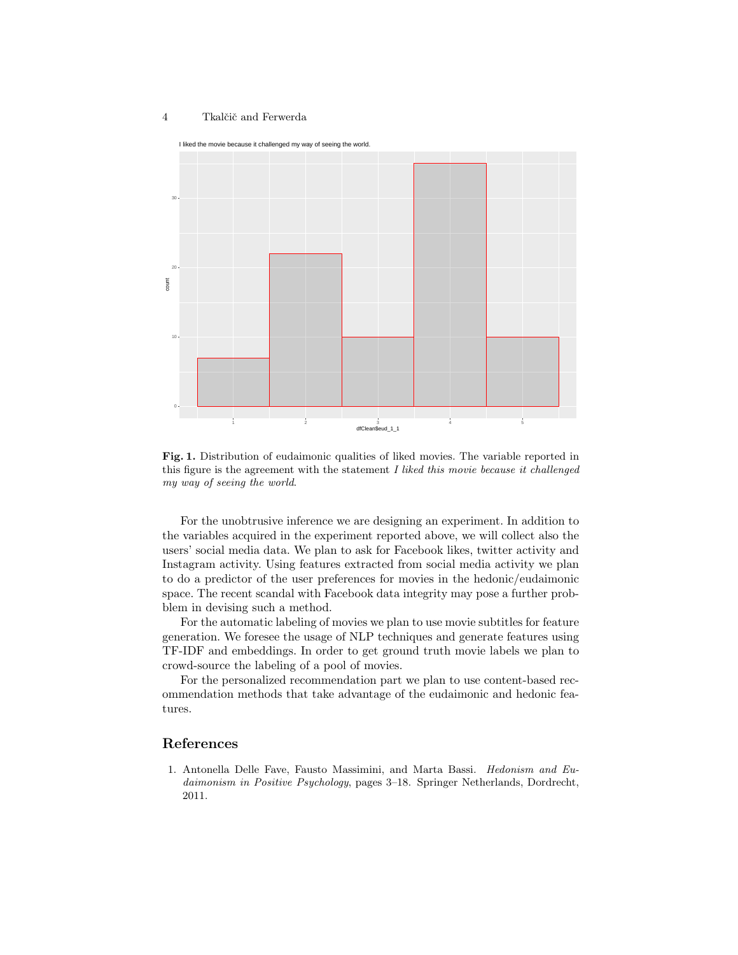#### 4 Tkalčič and Ferwerda



Fig. 1. Distribution of eudaimonic qualities of liked movies. The variable reported in this figure is the agreement with the statement  $I$  liked this movie because it challenged my way of seeing the world.

For the unobtrusive inference we are designing an experiment. In addition to the variables acquired in the experiment reported above, we will collect also the users' social media data. We plan to ask for Facebook likes, twitter activity and Instagram activity. Using features extracted from social media activity we plan to do a predictor of the user preferences for movies in the hedonic/eudaimonic space. The recent scandal with Facebook data integrity may pose a further probblem in devising such a method.

For the automatic labeling of movies we plan to use movie subtitles for feature generation. We foresee the usage of NLP techniques and generate features using TF-IDF and embeddings. In order to get ground truth movie labels we plan to crowd-source the labeling of a pool of movies.

For the personalized recommendation part we plan to use content-based recommendation methods that take advantage of the eudaimonic and hedonic features.

## References

1. Antonella Delle Fave, Fausto Massimini, and Marta Bassi. Hedonism and Eudaimonism in Positive Psychology, pages 3–18. Springer Netherlands, Dordrecht, 2011.